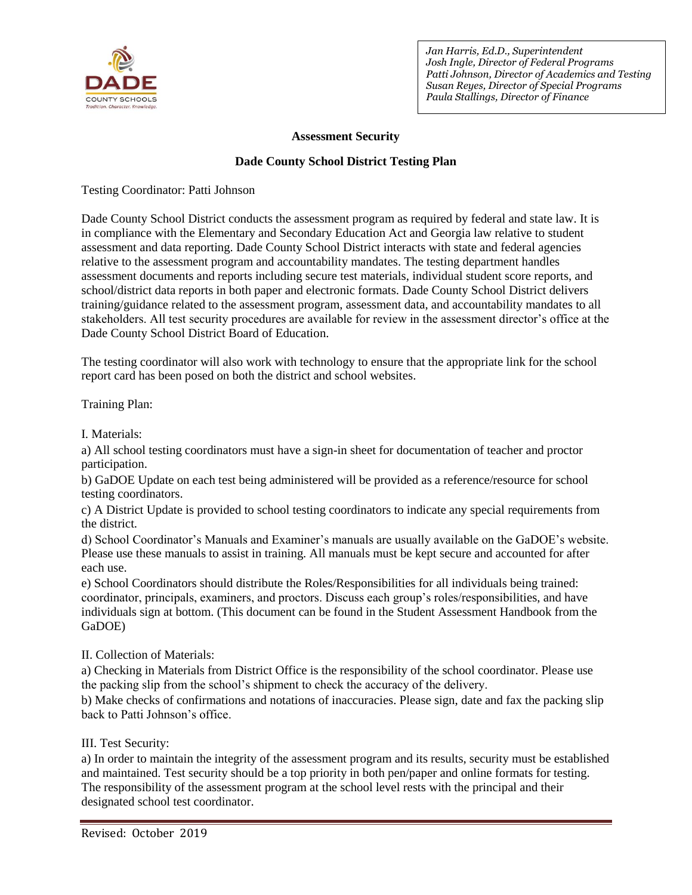

# **Assessment Security**

# **Dade County School District Testing Plan**

Testing Coordinator: Patti Johnson

Dade County School District conducts the assessment program as required by federal and state law. It is in compliance with the Elementary and Secondary Education Act and Georgia law relative to student assessment and data reporting. Dade County School District interacts with state and federal agencies relative to the assessment program and accountability mandates. The testing department handles assessment documents and reports including secure test materials, individual student score reports, and school/district data reports in both paper and electronic formats. Dade County School District delivers training/guidance related to the assessment program, assessment data, and accountability mandates to all stakeholders. All test security procedures are available for review in the assessment director's office at the Dade County School District Board of Education.

The testing coordinator will also work with technology to ensure that the appropriate link for the school report card has been posed on both the district and school websites.

Training Plan:

I. Materials:

a) All school testing coordinators must have a sign-in sheet for documentation of teacher and proctor participation.

b) GaDOE Update on each test being administered will be provided as a reference/resource for school testing coordinators.

c) A District Update is provided to school testing coordinators to indicate any special requirements from the district.

d) School Coordinator's Manuals and Examiner's manuals are usually available on the GaDOE's website. Please use these manuals to assist in training. All manuals must be kept secure and accounted for after each use.

e) School Coordinators should distribute the Roles/Responsibilities for all individuals being trained: coordinator, principals, examiners, and proctors. Discuss each group's roles/responsibilities, and have individuals sign at bottom. (This document can be found in the Student Assessment Handbook from the GaDOE)

II. Collection of Materials:

a) Checking in Materials from District Office is the responsibility of the school coordinator. Please use the packing slip from the school's shipment to check the accuracy of the delivery.

b) Make checks of confirmations and notations of inaccuracies. Please sign, date and fax the packing slip back to Patti Johnson's office.

III. Test Security:

a) In order to maintain the integrity of the assessment program and its results, security must be established and maintained. Test security should be a top priority in both pen/paper and online formats for testing. The responsibility of the assessment program at the school level rests with the principal and their designated school test coordinator.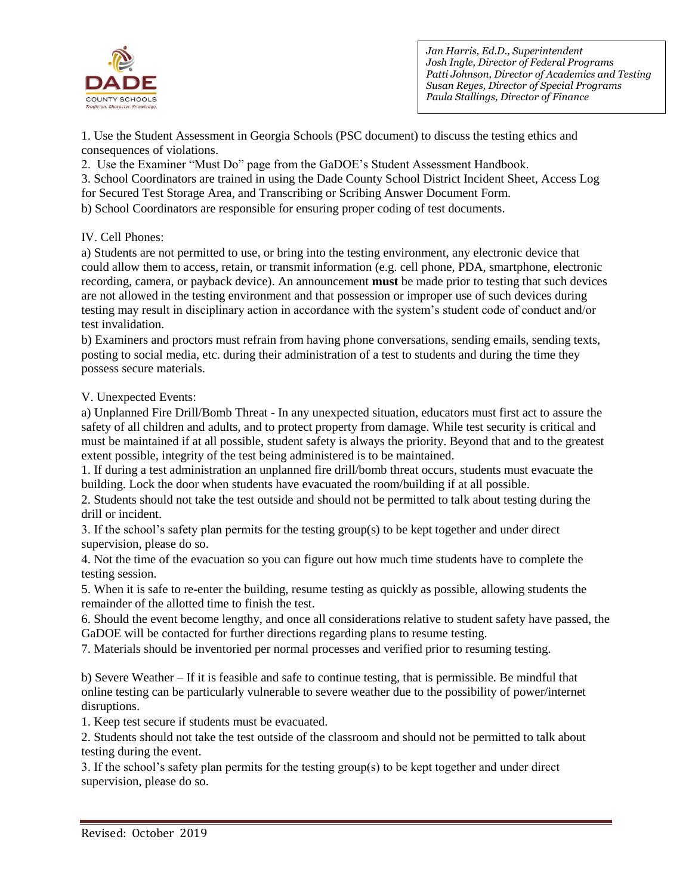

1. Use the Student Assessment in Georgia Schools (PSC document) to discuss the testing ethics and consequences of violations.

2. Use the Examiner "Must Do" page from the GaDOE's Student Assessment Handbook.

3. School Coordinators are trained in using the Dade County School District Incident Sheet, Access Log

for Secured Test Storage Area, and Transcribing or Scribing Answer Document Form.

b) School Coordinators are responsible for ensuring proper coding of test documents.

# IV. Cell Phones:

a) Students are not permitted to use, or bring into the testing environment, any electronic device that could allow them to access, retain, or transmit information (e.g. cell phone, PDA, smartphone, electronic recording, camera, or payback device). An announcement **must** be made prior to testing that such devices are not allowed in the testing environment and that possession or improper use of such devices during testing may result in disciplinary action in accordance with the system's student code of conduct and/or test invalidation.

b) Examiners and proctors must refrain from having phone conversations, sending emails, sending texts, posting to social media, etc. during their administration of a test to students and during the time they possess secure materials.

# V. Unexpected Events:

a) Unplanned Fire Drill/Bomb Threat - In any unexpected situation, educators must first act to assure the safety of all children and adults, and to protect property from damage. While test security is critical and must be maintained if at all possible, student safety is always the priority. Beyond that and to the greatest extent possible, integrity of the test being administered is to be maintained.

1. If during a test administration an unplanned fire drill/bomb threat occurs, students must evacuate the building. Lock the door when students have evacuated the room/building if at all possible.

2. Students should not take the test outside and should not be permitted to talk about testing during the drill or incident.

3. If the school's safety plan permits for the testing group(s) to be kept together and under direct supervision, please do so.

4. Not the time of the evacuation so you can figure out how much time students have to complete the testing session.

5. When it is safe to re-enter the building, resume testing as quickly as possible, allowing students the remainder of the allotted time to finish the test.

6. Should the event become lengthy, and once all considerations relative to student safety have passed, the GaDOE will be contacted for further directions regarding plans to resume testing.

7. Materials should be inventoried per normal processes and verified prior to resuming testing.

b) Severe Weather – If it is feasible and safe to continue testing, that is permissible. Be mindful that online testing can be particularly vulnerable to severe weather due to the possibility of power/internet disruptions.

1. Keep test secure if students must be evacuated.

2. Students should not take the test outside of the classroom and should not be permitted to talk about testing during the event.

3. If the school's safety plan permits for the testing group(s) to be kept together and under direct supervision, please do so.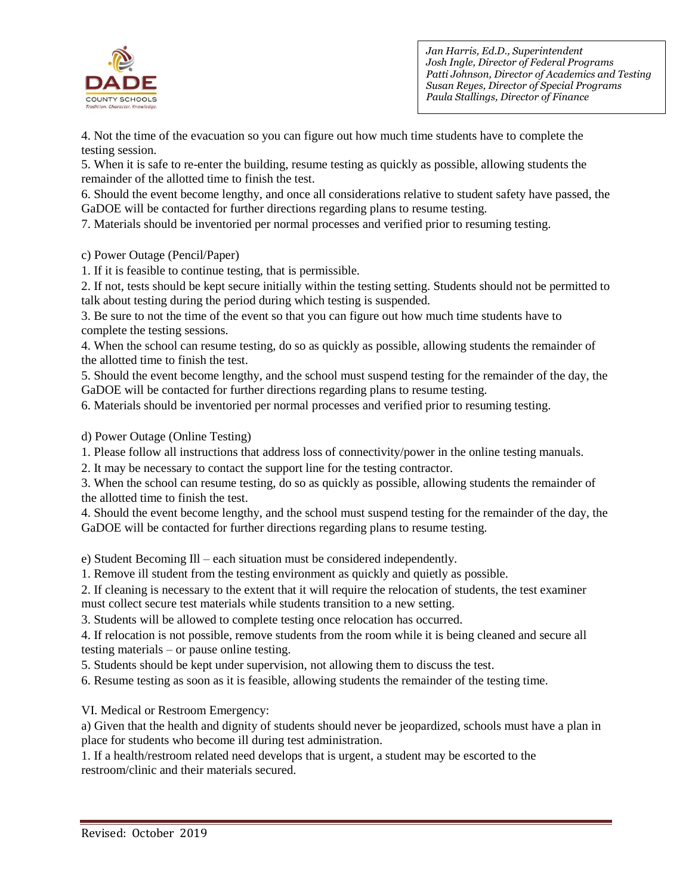

4. Not the time of the evacuation so you can figure out how much time students have to complete the testing session.

5. When it is safe to re-enter the building, resume testing as quickly as possible, allowing students the remainder of the allotted time to finish the test.

6. Should the event become lengthy, and once all considerations relative to student safety have passed, the GaDOE will be contacted for further directions regarding plans to resume testing.

7. Materials should be inventoried per normal processes and verified prior to resuming testing.

c) Power Outage (Pencil/Paper)

1. If it is feasible to continue testing, that is permissible.

2. If not, tests should be kept secure initially within the testing setting. Students should not be permitted to talk about testing during the period during which testing is suspended.

3. Be sure to not the time of the event so that you can figure out how much time students have to complete the testing sessions.

4. When the school can resume testing, do so as quickly as possible, allowing students the remainder of the allotted time to finish the test.

5. Should the event become lengthy, and the school must suspend testing for the remainder of the day, the GaDOE will be contacted for further directions regarding plans to resume testing.

6. Materials should be inventoried per normal processes and verified prior to resuming testing.

d) Power Outage (Online Testing)

1. Please follow all instructions that address loss of connectivity/power in the online testing manuals.

2. It may be necessary to contact the support line for the testing contractor.

3. When the school can resume testing, do so as quickly as possible, allowing students the remainder of the allotted time to finish the test.

4. Should the event become lengthy, and the school must suspend testing for the remainder of the day, the GaDOE will be contacted for further directions regarding plans to resume testing.

e) Student Becoming Ill – each situation must be considered independently.

1. Remove ill student from the testing environment as quickly and quietly as possible.

2. If cleaning is necessary to the extent that it will require the relocation of students, the test examiner must collect secure test materials while students transition to a new setting.

3. Students will be allowed to complete testing once relocation has occurred.

4. If relocation is not possible, remove students from the room while it is being cleaned and secure all testing materials – or pause online testing.

5. Students should be kept under supervision, not allowing them to discuss the test.

6. Resume testing as soon as it is feasible, allowing students the remainder of the testing time.

VI. Medical or Restroom Emergency:

a) Given that the health and dignity of students should never be jeopardized, schools must have a plan in place for students who become ill during test administration.

1. If a health/restroom related need develops that is urgent, a student may be escorted to the restroom/clinic and their materials secured.